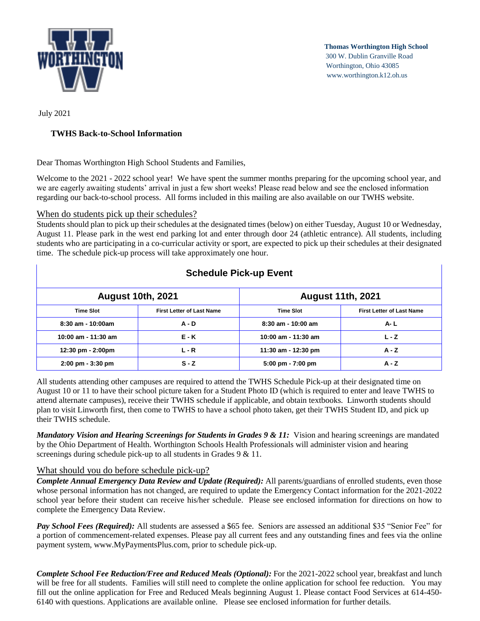

**Thomas Worthington High School**  300 W. Dublin Granville Road Worthington, Ohio 43085 www.worthington.k12.oh.us

July 2021

# **TWHS Back-to-School Information**

Dear Thomas Worthington High School Students and Families,

Welcome to the 2021 - 2022 school year! We have spent the summer months preparing for the upcoming school year, and we are eagerly awaiting students' arrival in just a few short weeks! Please read below and see the enclosed information regarding our back-to-school process. All forms included in this mailing are also available on our TWHS website.

## When do students pick up their schedules?

Students should plan to pick up their schedules at the designated times (below) on either Tuesday, August 10 or Wednesday, August 11. Please park in the west end parking lot and enter through door 24 (athletic entrance). All students, including students who are participating in a co-curricular activity or sport, are expected to pick up their schedules at their designated time. The schedule pick-up process will take approximately one hour.

| <b>Schedule Pick-up Event</b>       |                                  |                                     |                                  |
|-------------------------------------|----------------------------------|-------------------------------------|----------------------------------|
| <b>August 10th, 2021</b>            |                                  | <b>August 11th, 2021</b>            |                                  |
| <b>Time Slot</b>                    | <b>First Letter of Last Name</b> | <b>Time Slot</b>                    | <b>First Letter of Last Name</b> |
| $8:30$ am - 10:00am                 | $A - D$                          | $8:30$ am - 10:00 am                | <b>A-L</b>                       |
| 10:00 am - 11:30 am                 | <b>E - K</b>                     | 10:00 am - 11:30 am                 | $L - Z$                          |
| 12:30 pm - 2:00pm                   | $L - R$                          | 11:30 am - 12:30 pm                 | $A - Z$                          |
| $2:00 \text{ pm} - 3:30 \text{ pm}$ | $S - Z$                          | $5:00 \text{ pm} - 7:00 \text{ pm}$ | $A - Z$                          |

### All students attending other campuses are required to attend the TWHS Schedule Pick-up at their designated time on August 10 or 11 to have their school picture taken for a Student Photo ID (which is required to enter and leave TWHS to attend alternate campuses), receive their TWHS schedule if applicable, and obtain textbooks. Linworth students should plan to visit Linworth first, then come to TWHS to have a school photo taken, get their TWHS Student ID, and pick up their TWHS schedule.

*Mandatory Vision and Hearing Screenings for Students in Grades 9 & 11:* Vision and hearing screenings are mandated by the Ohio Department of Health. Worthington Schools Health Professionals will administer vision and hearing screenings during schedule pick-up to all students in Grades 9 & 11.

## What should you do before schedule pick-up?

*Complete Annual Emergency Data Review and Update (Required):* All parents/guardians of enrolled students, even those whose personal information has not changed, are required to update the Emergency Contact information for the 2021-2022 school year before their student can receive his/her schedule. Please see enclosed information for directions on how to complete the Emergency Data Review.

*Pay School Fees (Required):* All students are assessed a \$65 fee. Seniors are assessed an additional \$35 "Senior Fee" for a portion of commencement-related expenses. Please pay all current fees and any outstanding fines and fees via the online payment system, www.MyPaymentsPlus.com, prior to schedule pick-up.

*Complete School Fee Reduction/Free and Reduced Meals (Optional):* For the 2021-2022 school year, breakfast and lunch will be free for all students. Families will still need to complete the online application for school fee reduction. You may fill out the online application for Free and Reduced Meals beginning August 1. Please contact Food Services at 614-450- 6140 with questions. Applications are available online. Please see enclosed information for further details.